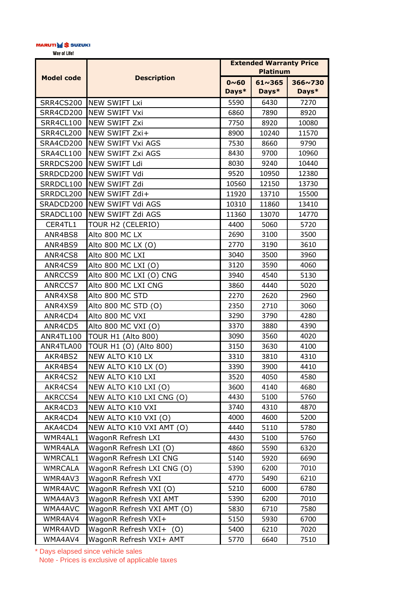## MARUTIVE<sup>S</sup> SUZUKI

Way of Life!

|                   |                            | <b>Extended Warranty Price</b><br><b>Platinum</b> |                 |         |  |
|-------------------|----------------------------|---------------------------------------------------|-----------------|---------|--|
| <b>Model code</b> | <b>Description</b>         | $0~0$ ~ 60                                        | $61 \times 365$ | 366~730 |  |
|                   |                            | Days*                                             | Days*           | Days*   |  |
| SRR4CS200         | <b>NEW SWIFT Lxi</b>       | 5590                                              | 6430            | 7270    |  |
| SRR4CD200         | <b>NEW SWIFT Vxi</b>       | 6860                                              | 7890            | 8920    |  |
| SRR4CL100         | <b>NEW SWIFT Zxi</b>       | 7750                                              | 8920            | 10080   |  |
| SRR4CL200         | NEW SWIFT Zxi+             | 8900                                              | 10240           | 11570   |  |
| SRA4CD200         | NEW SWIFT Vxi AGS          | 7530                                              | 8660            | 9790    |  |
| SRA4CL100         | <b>NEW SWIFT Zxi AGS</b>   | 8430                                              | 9700            | 10960   |  |
| SRRDCS200         | NEW SWIFT Ldi              | 8030                                              | 9240            | 10440   |  |
| SRRDCD200         | NEW SWIFT Vdi              | 9520                                              | 10950           | 12380   |  |
| SRRDCL100         | NEW SWIFT Zdi              | 10560                                             | 12150           | 13730   |  |
| SRRDCL200         | NEW SWIFT Zdi+             | 11920                                             | 13710           | 15500   |  |
| SRADCD200         | NEW SWIFT Vdi AGS          | 10310                                             | 11860           | 13410   |  |
| SRADCL100         | NEW SWIFT Zdi AGS          | 11360                                             | 13070           | 14770   |  |
| CER4TL1           | TOUR H2 (CELERIO)          | 4400                                              | 5060            | 5720    |  |
| ANR4BS8           | Alto 800 MC LX             | 2690                                              | 3100            | 3500    |  |
| ANR4BS9           | Alto 800 MC LX (O)         | 2770                                              | 3190            | 3610    |  |
| ANR4CS8           | Alto 800 MC LXI            | 3040                                              | 3500            | 3960    |  |
| ANR4CS9           | Alto 800 MC LXI (O)        | 3120                                              | 3590            | 4060    |  |
| ANRCCS9           | Alto 800 MC LXI (O) CNG    | 3940                                              | 4540            | 5130    |  |
| ANRCCS7           | Alto 800 MC LXI CNG        | 3860                                              | 4440            | 5020    |  |
| ANR4XS8           | Alto 800 MC STD            | 2270                                              | 2620            | 2960    |  |
| ANR4XS9           | Alto 800 MC STD (O)        | 2350                                              | 2710            | 3060    |  |
| ANR4CD4           | Alto 800 MC VXI            | 3290                                              | 3790            | 4280    |  |
| ANR4CD5           | Alto 800 MC VXI (O)        | 3370                                              | 3880            | 4390    |  |
| ANR4TL100         | <b>TOUR H1 (Alto 800)</b>  | 3090                                              | 3560            | 4020    |  |
| ANR4TLA00         | TOUR H1 (O) (Alto 800)     | 3150                                              | 3630            | 4100    |  |
| AKR4BS2           | NEW ALTO K10 LX            | 3310                                              | 3810            | 4310    |  |
| AKR4BS4           | NEW ALTO K10 LX (O)        | 3390                                              | 3900            | 4410    |  |
| AKR4CS2           | NEW ALTO K10 LXI           | 3520                                              | 4050            | 4580    |  |
| AKR4CS4           | NEW ALTO K10 LXI (O)       | 3600                                              | 4140            | 4680    |  |
| AKRCCS4           | NEW ALTO K10 LXI CNG (O)   | 4430                                              | 5100            | 5760    |  |
| AKR4CD3           | NEW ALTO K10 VXI           | 3740                                              | 4310            | 4870    |  |
| AKR4CD4           | NEW ALTO K10 VXI (O)       | 4000                                              | 4600            | 5200    |  |
| AKA4CD4           | NEW ALTO K10 VXI AMT (O)   | 4440                                              | 5110            | 5780    |  |
| WMR4AL1           | WagonR Refresh LXI         | 4430                                              | 5100            | 5760    |  |
| WMR4ALA           | WagonR Refresh LXI (O)     | 4860                                              | 5590            | 6320    |  |
| <b>WMRCAL1</b>    | WagonR Refresh LXI CNG     | 5140                                              | 5920            | 6690    |  |
| <b>WMRCALA</b>    | WagonR Refresh LXI CNG (O) | 5390                                              | 6200            | 7010    |  |
| WMR4AV3           | WagonR Refresh VXI         | 4770                                              | 5490            | 6210    |  |
| WMR4AVC           | WagonR Refresh VXI (O)     | 5210                                              | 6000            | 6780    |  |
| WMA4AV3           | WagonR Refresh VXI AMT     | 5390                                              | 6200            | 7010    |  |
| WMA4AVC           | WagonR Refresh VXI AMT (O) | 5830                                              | 6710            | 7580    |  |
| WMR4AV4           | WagonR Refresh VXI+        | 5150                                              | 5930            | 6700    |  |
| WMR4AVD           | WagonR Refresh VXI+<br>(0) | 5400                                              | 6210            | 7020    |  |
| WMA4AV4           | WagonR Refresh VXI+ AMT    | 5770                                              | 6640            | 7510    |  |

\* Days elapsed since vehicle sales Note - Prices is exclusive of applicable taxes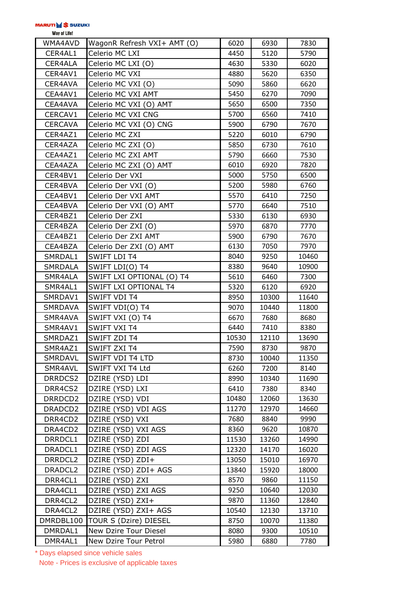|  | Way of Life! |  |
|--|--------------|--|

| WMA4AVD             | WagonR Refresh VXI+ AMT (O) | 6020  | 6930  | 7830  |
|---------------------|-----------------------------|-------|-------|-------|
| CER4AL1             | Celerio MC LXI              | 4450  | 5120  | 5790  |
| CER4ALA             | Celerio MC LXI (O)          | 4630  | 5330  | 6020  |
| CER4AV1             | Celerio MC VXI              | 4880  | 5620  | 6350  |
| CER4AVA             | Celerio MC VXI (O)          | 5090  | 5860  | 6620  |
| CEA4AV1             | Celerio MC VXI AMT          | 5450  | 6270  | 7090  |
| CEA4AVA             | Celerio MC VXI (O) AMT      | 5650  | 6500  | 7350  |
| CERCAV1             | Celerio MC VXI CNG          | 5700  | 6560  | 7410  |
| <b>CERCAVA</b>      | Celerio MC VXI (O) CNG      | 5900  | 6790  | 7670  |
| CER4AZ1             | Celerio MC ZXI              | 5220  | 6010  | 6790  |
| CER4AZA             | Celerio MC ZXI (O)          | 5850  | 6730  | 7610  |
| CEA4AZ1             | Celerio MC ZXI AMT          | 5790  | 6660  | 7530  |
| CEA4AZA             | Celerio MC ZXI (O) AMT      | 6010  | 6920  | 7820  |
| CER4BV1             | Celerio Der VXI             | 5000  | 5750  | 6500  |
| CER4BVA             | Celerio Der VXI (O)         | 5200  | 5980  | 6760  |
| CEA4BV1             | Celerio Der VXI AMT         | 5570  | 6410  | 7250  |
| CEA4BVA             | Celerio Der VXI (O) AMT     | 5770  | 6640  | 7510  |
| CER4BZ1             | Celerio Der ZXI             | 5330  | 6130  | 6930  |
| CER4BZA             | Celerio Der ZXI (O)         | 5970  | 6870  | 7770  |
| CEA4BZ1             | Celerio Der ZXI AMT         | 5900  | 6790  | 7670  |
| CEA4BZA             | Celerio Der ZXI (O) AMT     | 6130  | 7050  | 7970  |
| SMRDAL1             | <b>SWIFT LDI T4</b>         | 8040  | 9250  | 10460 |
| <b>SMRDALA</b>      | SWIFT LDI(O) T4             | 8380  | 9640  | 10900 |
| SMR4ALA             | SWIFT LXI OPTIONAL (O) T4   | 5610  | 6460  | 7300  |
| SMR4AL1             | SWIFT LXI OPTIONAL T4       | 5320  | 6120  | 6920  |
| SMRDAV1             | <b>SWIFT VDI T4</b>         | 8950  | 10300 | 11640 |
| <b>SMRDAVA</b>      | SWIFT VDI(O) T4             | 9070  | 10440 | 11800 |
| SMR4AVA             | SWIFT VXI (O) T4            | 6670  | 7680  | 8680  |
| SMR4AV1             | <b>SWIFT VXI T4</b>         | 6440  | 7410  | 8380  |
| SMRDAZ1             | SWIFT ZDI T4                | 10530 | 12110 | 13690 |
| SMR4AZ1             | SWIFT ZXI T4                | 7590  | 8730  | 9870  |
| SMRDAVL             | <b>SWIFT VDI T4 LTD</b>     | 8730  | 10040 | 11350 |
| SMR4AVL             | SWIFT VXI T4 Ltd            | 6260  | 7200  | 8140  |
| DRRDCS2             | DZIRE (YSD) LDI             | 8990  | 10340 | 11690 |
| DRR4CS2             | DZIRE (YSD) LXI             | 6410  | 7380  | 8340  |
| DRRDCD2             | DZIRE (YSD) VDI             | 10480 | 12060 | 13630 |
| DRADCD2             | DZIRE (YSD) VDI AGS         | 11270 | 12970 | 14660 |
| DRR4CD2             | DZIRE (YSD) VXI             | 7680  | 8840  | 9990  |
| DRA4CD2             | DZIRE (YSD) VXI AGS         | 8360  | 9620  | 10870 |
| DRRDCL1             | DZIRE (YSD) ZDI             | 11530 | 13260 | 14990 |
| DRADCL1             | DZIRE (YSD) ZDI AGS         | 12320 | 14170 | 16020 |
| DRRDCL <sub>2</sub> | DZIRE (YSD) ZDI+            | 13050 | 15010 | 16970 |
| DRADCL2             | DZIRE (YSD) ZDI+ AGS        | 13840 | 15920 | 18000 |
| DRR4CL1             | DZIRE (YSD) ZXI             | 8570  | 9860  | 11150 |
| DRA4CL1             | DZIRE (YSD) ZXI AGS         | 9250  | 10640 | 12030 |
| DRR4CL2             | DZIRE (YSD) ZXI+            | 9870  | 11360 | 12840 |
| DRA4CL2             | DZIRE (YSD) ZXI+ AGS        | 10540 | 12130 | 13710 |
| DMRDBL100           | TOUR S (Dzire) DIESEL       | 8750  | 10070 | 11380 |
| DMRDAL1             | New Dzire Tour Diesel       | 8080  | 9300  | 10510 |
| DMR4AL1             | New Dzire Tour Petrol       | 5980  | 6880  | 7780  |
|                     |                             |       |       |       |

\* Days elapsed since vehicle sales Note - Prices is exclusive of applicable taxes